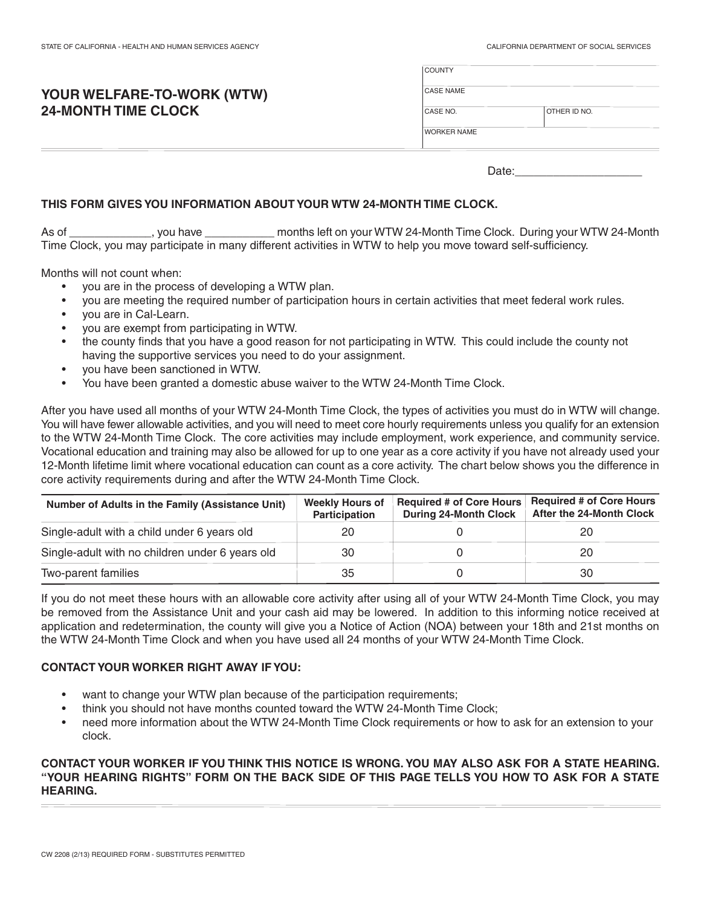## **YOUR WELFARE-TO-WORK (WTW) 24-MONTH TIME CLOCK**

| <b>COUNTY</b>      |              |
|--------------------|--------------|
| <b>CASE NAME</b>   |              |
| CASE NO.           | OTHER ID NO. |
| <b>WORKER NAME</b> |              |
|                    |              |

Date: $\sqsubseteq$ 

### **THIS FORM GIVES YOU INFORMATION ABOUT YOUR WTW 24-MONTH TIME CLOCK.**

As of \_\_\_\_\_\_\_\_\_\_\_\_\_\_\_, you have \_\_\_ As of you have months left on your WTW 24-Month Time Clock. During your WTW 24-Month Time Clock, you may participate in many different activities in WTW to help you move toward self-sufficiency.

Months will not count when:

- you are in the process of developing a WTW plan.
- you are meeting the required number of participation hours in certain activities that meet federal work rules.
- you are in Cal-Learn.
- you are exempt from participating in WTW.
- the county finds that you have a good reason for not participating in WTW. This could include the county not having the supportive services you need to do your assignment.
- you have been sanctioned in WTW.
- You have been granted a domestic abuse waiver to the WTW 24-Month Time Clock.

After you have used all months of your WTW 24-Month Time Clock, the types of activities you must do in WTW will change. You will have fewer allowable activities, and you will need to meet core hourly requirements unless you qualify for an extension to the WTW 24-Month Time Clock. The core activities may include employment, work experience, and community service. Vocational education and training may also be allowed for up to one year as a core activity if you have not already used your 12-Month lifetime limit where vocational education can count as a core activity. The chart below shows you the difference in core activity requirements during and after the WTW 24-Month Time Clock.

| Number of Adults in the Family (Assistance Unit) | <b>Weekly Hours of</b><br>Participation | <b>Required # of Core Hours</b><br><b>During 24-Month Clock</b> | <b>Required # of Core Hours</b><br><b>After the 24-Month Clock</b> |
|--------------------------------------------------|-----------------------------------------|-----------------------------------------------------------------|--------------------------------------------------------------------|
| Single-adult with a child under 6 years old      | 20                                      |                                                                 | 20                                                                 |
| Single-adult with no children under 6 years old  | 30                                      |                                                                 | 20                                                                 |
| Two-parent families                              | 35                                      |                                                                 | 30                                                                 |

If you do not meet these hours with an allowable core activity after using all of your WTW 24-Month Time Clock, you may be removed from the Assistance Unit and your cash aid may be lowered. In addition to this informing notice received at application and redetermination, the county will give you a Notice of Action (NOA) between your 18th and 21st months on the WTW 24-Month Time Clock and when you have used all 24 months of your WTW 24-Month Time Clock.

#### **CONTACT YOUR WORKER RIGHT AWAY IF YOU:**

- want to change your WTW plan because of the participation requirements;
- think you should not have months counted toward the WTW 24-Month Time Clock;
- need more information about the WTW 24-Month Time Clock requirements or how to ask for an extension to your clock.

#### **CONTACT YOUR WORKER IF YOU THINK THIS NOTICE IS WRONG. YOU MAY ALSO ASK FOR A STATE HEARING. "YOUR HEARING RIGHTS" FORM ON THE BACK SIDE OF THIS PAGE TELLS YOU HOW TO ASK FOR A STATE HEARING.**